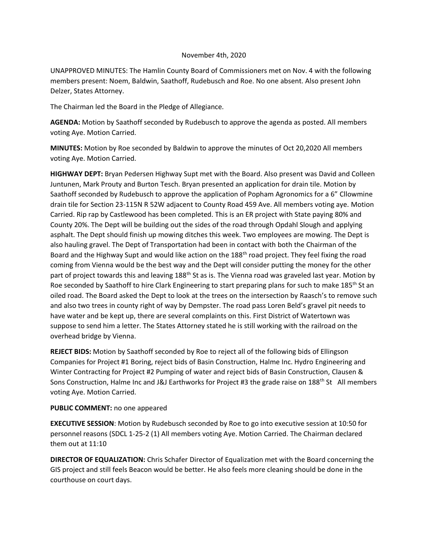## November 4th, 2020

UNAPPROVED MINUTES: The Hamlin County Board of Commissioners met on Nov. 4 with the following members present: Noem, Baldwin, Saathoff, Rudebusch and Roe. No one absent. Also present John Delzer, States Attorney.

The Chairman led the Board in the Pledge of Allegiance.

**AGENDA:** Motion by Saathoff seconded by Rudebusch to approve the agenda as posted. All members voting Aye. Motion Carried.

**MINUTES:** Motion by Roe seconded by Baldwin to approve the minutes of Oct 20,2020 All members voting Aye. Motion Carried.

**HIGHWAY DEPT:** Bryan Pedersen Highway Supt met with the Board. Also present was David and Colleen Juntunen, Mark Prouty and Burton Tesch. Bryan presented an application for drain tile. Motion by Saathoff seconded by Rudebusch to approve the application of Popham Agronomics for a 6" Cllowmine drain tile for Section 23-115N R 52W adjacent to County Road 459 Ave. All members voting aye. Motion Carried. Rip rap by Castlewood has been completed. This is an ER project with State paying 80% and County 20%. The Dept will be building out the sides of the road through Opdahl Slough and applying asphalt. The Dept should finish up mowing ditches this week. Two employees are mowing. The Dept is also hauling gravel. The Dept of Transportation had been in contact with both the Chairman of the Board and the Highway Supt and would like action on the 188<sup>th</sup> road project. They feel fixing the road coming from Vienna would be the best way and the Dept will consider putting the money for the other part of project towards this and leaving 188<sup>th</sup> St as is. The Vienna road was graveled last year. Motion by Roe seconded by Saathoff to hire Clark Engineering to start preparing plans for such to make 185<sup>th</sup> St an oiled road. The Board asked the Dept to look at the trees on the intersection by Raasch's to remove such and also two trees in county right of way by Dempster. The road pass Loren Beld's gravel pit needs to have water and be kept up, there are several complaints on this. First District of Watertown was suppose to send him a letter. The States Attorney stated he is still working with the railroad on the overhead bridge by Vienna.

**REJECT BIDS:** Motion by Saathoff seconded by Roe to reject all of the following bids of Ellingson Companies for Project #1 Boring, reject bids of Basin Construction, Halme Inc. Hydro Engineering and Winter Contracting for Project #2 Pumping of water and reject bids of Basin Construction, Clausen & Sons Construction, Halme Inc and J&J Earthworks for Project #3 the grade raise on 188<sup>th</sup> St All members voting Aye. Motion Carried.

## **PUBLIC COMMENT:** no one appeared

**EXECUTIVE SESSION**: Motion by Rudebusch seconded by Roe to go into executive session at 10:50 for personnel reasons (SDCL 1-25-2 (1) All members voting Aye. Motion Carried. The Chairman declared them out at 11:10

**DIRECTOR OF EQUALIZATION:** Chris Schafer Director of Equalization met with the Board concerning the GIS project and still feels Beacon would be better. He also feels more cleaning should be done in the courthouse on court days.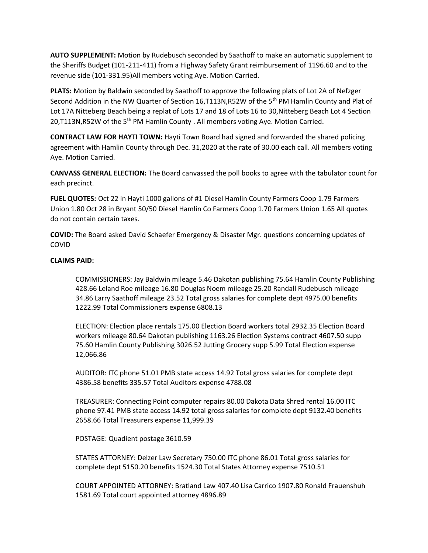**AUTO SUPPLEMENT:** Motion by Rudebusch seconded by Saathoff to make an automatic supplement to the Sheriffs Budget (101-211-411) from a Highway Safety Grant reimbursement of 1196.60 and to the revenue side (101-331.95)All members voting Aye. Motion Carried.

**PLATS:** Motion by Baldwin seconded by Saathoff to approve the following plats of Lot 2A of Nefzger Second Addition in the NW Quarter of Section 16, T113N, R52W of the 5<sup>th</sup> PM Hamlin County and Plat of Lot 17A Nitteberg Beach being a replat of Lots 17 and 18 of Lots 16 to 30,Nitteberg Beach Lot 4 Section 20,T113N,R52W of the 5<sup>th</sup> PM Hamlin County . All members voting Aye. Motion Carried.

**CONTRACT LAW FOR HAYTI TOWN:** Hayti Town Board had signed and forwarded the shared policing agreement with Hamlin County through Dec. 31,2020 at the rate of 30.00 each call. All members voting Aye. Motion Carried.

**CANVASS GENERAL ELECTION:** The Board canvassed the poll books to agree with the tabulator count for each precinct.

**FUEL QUOTES:** Oct 22 in Hayti 1000 gallons of #1 Diesel Hamlin County Farmers Coop 1.79 Farmers Union 1.80 Oct 28 in Bryant 50/50 Diesel Hamlin Co Farmers Coop 1.70 Farmers Union 1.65 All quotes do not contain certain taxes.

**COVID:** The Board asked David Schaefer Emergency & Disaster Mgr. questions concerning updates of COVID

## **CLAIMS PAID:**

COMMISSIONERS: Jay Baldwin mileage 5.46 Dakotan publishing 75.64 Hamlin County Publishing 428.66 Leland Roe mileage 16.80 Douglas Noem mileage 25.20 Randall Rudebusch mileage 34.86 Larry Saathoff mileage 23.52 Total gross salaries for complete dept 4975.00 benefits 1222.99 Total Commissioners expense 6808.13

ELECTION: Election place rentals 175.00 Election Board workers total 2932.35 Election Board workers mileage 80.64 Dakotan publishing 1163.26 Election Systems contract 4607.50 supp 75.60 Hamlin County Publishing 3026.52 Jutting Grocery supp 5.99 Total Election expense 12,066.86

AUDITOR: ITC phone 51.01 PMB state access 14.92 Total gross salaries for complete dept 4386.58 benefits 335.57 Total Auditors expense 4788.08

TREASURER: Connecting Point computer repairs 80.00 Dakota Data Shred rental 16.00 ITC phone 97.41 PMB state access 14.92 total gross salaries for complete dept 9132.40 benefits 2658.66 Total Treasurers expense 11,999.39

POSTAGE: Quadient postage 3610.59

STATES ATTORNEY: Delzer Law Secretary 750.00 ITC phone 86.01 Total gross salaries for complete dept 5150.20 benefits 1524.30 Total States Attorney expense 7510.51

COURT APPOINTED ATTORNEY: Bratland Law 407.40 Lisa Carrico 1907.80 Ronald Frauenshuh 1581.69 Total court appointed attorney 4896.89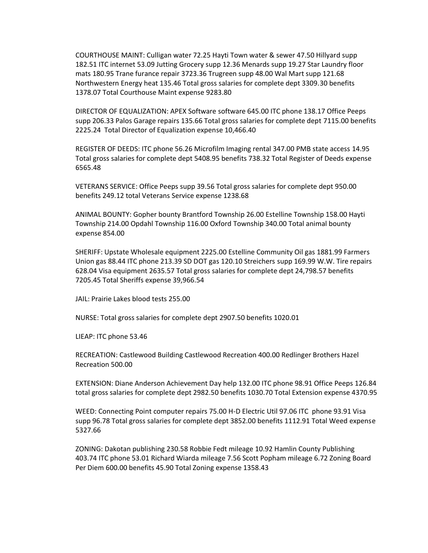COURTHOUSE MAINT: Culligan water 72.25 Hayti Town water & sewer 47.50 Hillyard supp 182.51 ITC internet 53.09 Jutting Grocery supp 12.36 Menards supp 19.27 Star Laundry floor mats 180.95 Trane furance repair 3723.36 Trugreen supp 48.00 Wal Mart supp 121.68 Northwestern Energy heat 135.46 Total gross salaries for complete dept 3309.30 benefits 1378.07 Total Courthouse Maint expense 9283.80

DIRECTOR OF EQUALIZATION: APEX Software software 645.00 ITC phone 138.17 Office Peeps supp 206.33 Palos Garage repairs 135.66 Total gross salaries for complete dept 7115.00 benefits 2225.24 Total Director of Equalization expense 10,466.40

REGISTER OF DEEDS: ITC phone 56.26 Microfilm Imaging rental 347.00 PMB state access 14.95 Total gross salaries for complete dept 5408.95 benefits 738.32 Total Register of Deeds expense 6565.48

VETERANS SERVICE: Office Peeps supp 39.56 Total gross salaries for complete dept 950.00 benefits 249.12 total Veterans Service expense 1238.68

ANIMAL BOUNTY: Gopher bounty Brantford Township 26.00 Estelline Township 158.00 Hayti Township 214.00 Opdahl Township 116.00 Oxford Township 340.00 Total animal bounty expense 854.00

SHERIFF: Upstate Wholesale equipment 2225.00 Estelline Community Oil gas 1881.99 Farmers Union gas 88.44 ITC phone 213.39 SD DOT gas 120.10 Streichers supp 169.99 W.W. Tire repairs 628.04 Visa equipment 2635.57 Total gross salaries for complete dept 24,798.57 benefits 7205.45 Total Sheriffs expense 39,966.54

JAIL: Prairie Lakes blood tests 255.00

NURSE: Total gross salaries for complete dept 2907.50 benefits 1020.01

LIEAP: ITC phone 53.46

RECREATION: Castlewood Building Castlewood Recreation 400.00 Redlinger Brothers Hazel Recreation 500.00

EXTENSION: Diane Anderson Achievement Day help 132.00 ITC phone 98.91 Office Peeps 126.84 total gross salaries for complete dept 2982.50 benefits 1030.70 Total Extension expense 4370.95

WEED: Connecting Point computer repairs 75.00 H-D Electric Util 97.06 ITC phone 93.91 Visa supp 96.78 Total gross salaries for complete dept 3852.00 benefits 1112.91 Total Weed expense 5327.66

ZONING: Dakotan publishing 230.58 Robbie Fedt mileage 10.92 Hamlin County Publishing 403.74 ITC phone 53.01 Richard Wiarda mileage 7.56 Scott Popham mileage 6.72 Zoning Board Per Diem 600.00 benefits 45.90 Total Zoning expense 1358.43